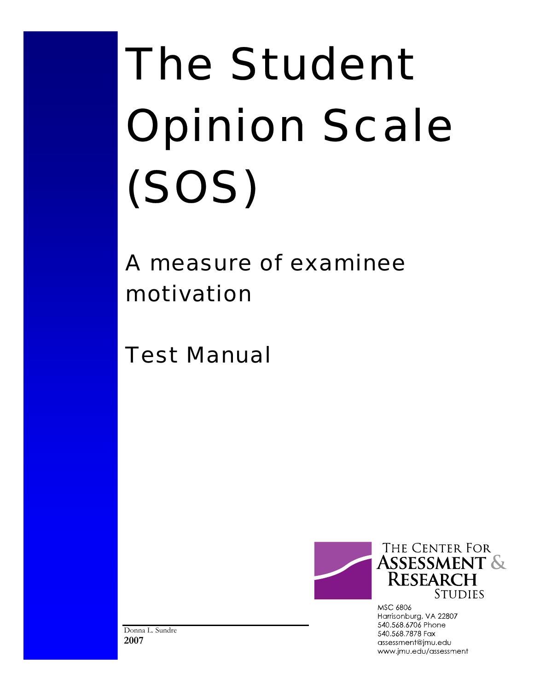# The Student Opinion Scale (SOS)

# A measure of examinee motivation

Test Manual



MSC 6806 Harrisonburg, VA 22807 540.568.6706 Phone 540.568.7878 Fax assessment@jmu.edu www.jmu.edu/assessment

Donna L. Sundre **2007**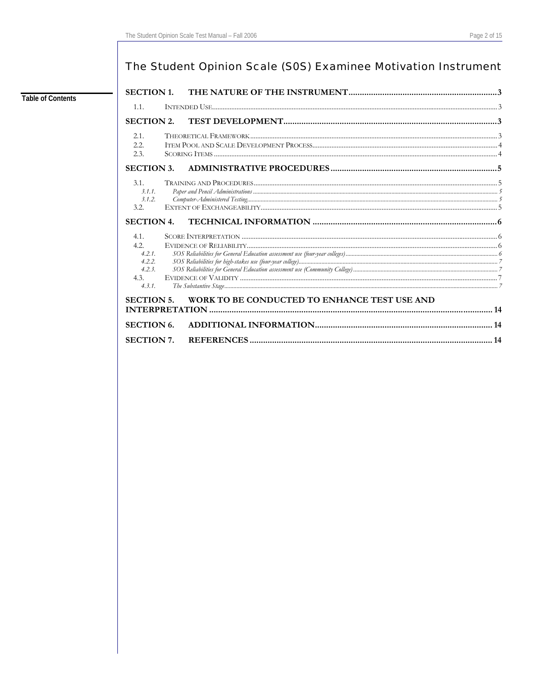# The Student Opinion Scale (S0S) Examinee Motivation Instrument

## **Table of Contents**

| 1.1.                                                        |                                              |  |
|-------------------------------------------------------------|----------------------------------------------|--|
| <b>SECTION 2.</b>                                           |                                              |  |
| 2.1.                                                        |                                              |  |
| 2.2.<br>2.3.                                                |                                              |  |
| <b>SECTION 3.</b>                                           |                                              |  |
| 3.1.<br>3.1.1.<br>3.1.2.<br>3.2.                            |                                              |  |
| <b>SECTION 4.</b>                                           |                                              |  |
| 4.1.<br>4.2.<br>4.2.1<br>4.2.2.<br>4.2.3.<br>4.3.<br>4.3.1. |                                              |  |
| <b>SECTION 5.</b>                                           | WORK TO BE CONDUCTED TO ENHANCE TEST USE AND |  |
| <b>SECTION 6.</b>                                           |                                              |  |
| <b>SECTION 7.</b>                                           |                                              |  |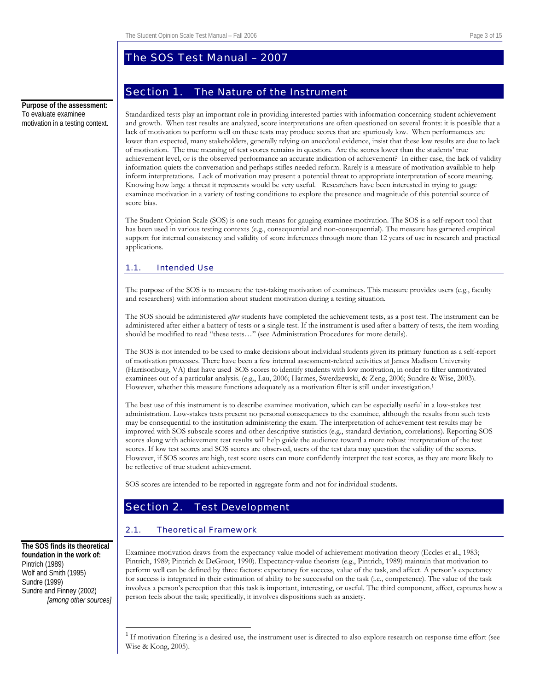# The SOS Test Manual – 2007

# Section 1. The Nature of the Instrument

<span id="page-2-0"></span>**Purpose of the assessment:**  To evaluate examinee motivation in a testing context.

Standardized tests play an important role in providing interested parties with information concerning student achievement and growth. When test results are analyzed, score interpretations are often questioned on several fronts: it is possible that a lack of motivation to perform well on these tests may produce scores that are spuriously low. When performances are lower than expected, many stakeholders, generally relying on anecdotal evidence, insist that these low results are due to lack of motivation. The true meaning of test scores remains in question. Are the scores lower than the students' true achievement level, or is the observed performance an accurate indication of achievement? In either case, the lack of validity information quiets the conversation and perhaps stifles needed reform. Rarely is a measure of motivation available to help inform interpretations. Lack of motivation may present a potential threat to appropriate interpretation of score meaning. Knowing how large a threat it represents would be very useful. Researchers have been interested in trying to gauge examinee motivation in a variety of testing conditions to explore the presence and magnitude of this potential source of score bias.

The Student Opinion Scale (SOS) is one such means for gauging examinee motivation. The SOS is a self-report tool that has been used in various testing contexts (e.g., consequential and non-consequential). The measure has garnered empirical support for internal consistency and validity of score inferences through more than 12 years of use in research and practical applications.

#### 1.1. Intended Use

The purpose of the SOS is to measure the test-taking motivation of examinees. This measure provides users (e.g., faculty and researchers) with information about student motivation during a testing situation.

The SOS should be administered *after* students have completed the achievement tests, as a post test. The instrument can be administered after either a battery of tests or a single test. If the instrument is used after a battery of tests, the item wording should be modified to read "these tests…" (see Administration Procedures for more details).

The SOS is not intended to be used to make decisions about individual students given its primary function as a self-report of motivation processes. There have been a few internal assessment-related activities at James Madison University (Harrisonburg, VA) that have used SOS scores to identify students with low motivation, in order to filter unmotivated examinees out of a particular analysis. (e.g., Lau, 2006; Harmes, Swerdzewski, & Zeng, 2006; Sundre & Wise, 2003). However, whether this measure functions adequately as a motivation filter is still under investigation.<sup>[1](#page-2-1)</sup>

The best use of this instrument is to describe examinee motivation, which can be especially useful in a low-stakes test administration. Low-stakes tests present no personal consequences to the examinee, although the results from such tests may be consequential to the institution administering the exam. The interpretation of achievement test results may be improved with SOS subscale scores and other descriptive statistics (e.g., standard deviation, correlations). Reporting SOS scores along with achievement test results will help guide the audience toward a more robust interpretation of the test scores. If low test scores and SOS scores are observed, users of the test data may question the validity of the scores. However, if SOS scores are high, test score users can more confidently interpret the test scores, as they are more likely to be reflective of true student achievement.

SOS scores are intended to be reported in aggregate form and not for individual students.

# Section 2. Test Development

#### 2.1. Theoretical Framework

Examinee motivation draws from the expectancy-value model of achievement motivation theory (Eccles et al., 1983; Pintrich, 1989; Pintrich & DeGroot, 1990). Expectancy-value theorists (e.g., Pintrich, 1989) maintain that motivation to perform well can be defined by three factors: expectancy for success, value of the task, and affect. A person's expectancy for success is integrated in their estimation of ability to be successful on the task (i.e., competence). The value of the task involves a person's perception that this task is important, interesting, or useful. The third component, affect, captures how a person feels about the task; specifically, it involves dispositions such as anxiety.

**The SOS finds its theoretical foundation in the work of:**  Pintrich (1989) Wolf and Smith (1995) Sundre (1999) Sundre and Finney (2002) *[among other sources]*

<span id="page-2-1"></span> $\frac{1}{1}$  If motivation filtering is a desired use, the instrument user is directed to also explore research on response time effort (see Wise & Kong, 2005).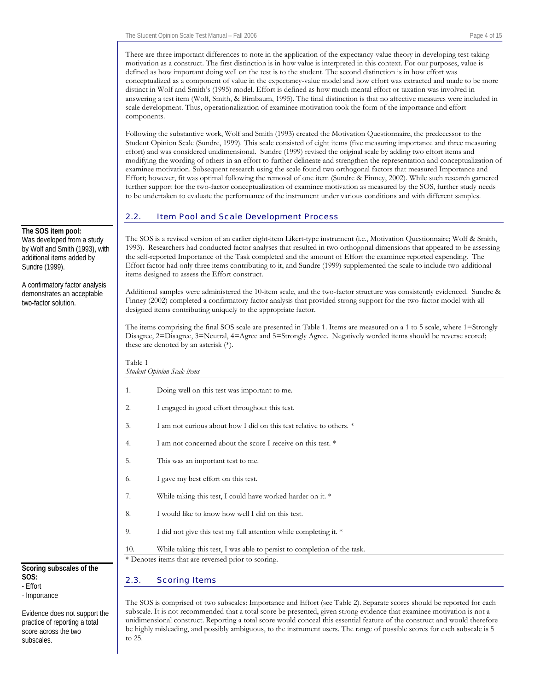<span id="page-3-0"></span>There are three important differences to note in the application of the expectancy-value theory in developing test-taking motivation as a construct. The first distinction is in how value is interpreted in this context. For our purposes, value is defined as how important doing well on the test is to the student. The second distinction is in how effort was conceptualized as a component of value in the expectancy-value model and how effort was extracted and made to be more distinct in Wolf and Smith's (1995) model. Effort is defined as how much mental effort or taxation was involved in answering a test item (Wolf, Smith, & Birnbaum, 1995). The final distinction is that no affective measures were included in scale development. Thus, operationalization of examinee motivation took the form of the importance and effort components.

Following the substantive work, Wolf and Smith (1993) created the Motivation Questionnaire, the predecessor to the Student Opinion Scale (Sundre, 1999). This scale consisted of eight items (five measuring importance and three measuring effort) and was considered unidimensional. Sundre (1999) revised the original scale by adding two effort items and modifying the wording of others in an effort to further delineate and strengthen the representation and conceptualization of examinee motivation. Subsequent research using the scale found two orthogonal factors that measured Importance and Effort; however, fit was optimal following the removal of one item (Sundre & Finney, 2002). While such research garnered further support for the two-factor conceptualization of examinee motivation as measured by the SOS, further study needs to be undertaken to evaluate the performance of the instrument under various conditions and with different samples.

#### 2.2. Item Pool and Scale Development Process

The SOS is a revised version of an earlier eight-item Likert-type instrument (i.e., Motivation Questionnaire; Wolf & Smith, 1993). Researchers had conducted factor analyses that resulted in two orthogonal dimensions that appeared to be assessing the self-reported Importance of the Task completed and the amount of Effort the examinee reported expending. The Effort factor had only three items contributing to it, and Sundre (1999) supplemented the scale to include two additional items designed to assess the Effort construct.

Additional samples were administered the 10-item scale, and the two-factor structure was consistently evidenced. Sundre & Finney (2002) completed a confirmatory factor analysis that provided strong support for the two-factor model with all designed items contributing uniquely to the appropriate factor.

The items comprising the final SOS scale are presented in Table 1. Items are measured on a 1 to 5 scale, where 1=Strongly Disagree, 2=Disagree, 3=Neutral, 4=Agree and 5=Strongly Agree. Negatively worded items should be reverse scored; these are denoted by an asterisk (\*).

| r avit r | <b>Student Opinion Scale items</b>                                       |  |  |  |
|----------|--------------------------------------------------------------------------|--|--|--|
| 1.       | Doing well on this test was important to me.                             |  |  |  |
| 2.       | I engaged in good effort throughout this test.                           |  |  |  |
| 3.       | I am not curious about how I did on this test relative to others. *      |  |  |  |
| 4.       | I am not concerned about the score I receive on this test. *             |  |  |  |
| 5.       | This was an important test to me.                                        |  |  |  |
| 6.       | I gave my best effort on this test.                                      |  |  |  |
| 7.       | While taking this test, I could have worked harder on it. *              |  |  |  |
| 8.       | I would like to know how well I did on this test.                        |  |  |  |
| 9.       | I did not give this test my full attention while completing it. *        |  |  |  |
| 10.      | While taking this test, I was able to persist to completion of the task. |  |  |  |
|          | * Denotes items that are reversed prior to scoring.                      |  |  |  |
| 2.3.     | <b>Scoring Items</b>                                                     |  |  |  |

The SOS is comprised of two subscales: Importance and Effort (see Table 2). Separate scores should be reported for each subscale. It is not recommended that a total score be presented, given strong evidence that examinee motivation is not a unidimensional construct. Reporting a total score would conceal this essential feature of the construct and would therefore be highly misleading, and possibly ambiguous, to the instrument users. The range of possible scores for each subscale is 5 to 25.

#### **The SOS item pool:**

Was developed from a study by Wolf and Smith (1993), with additional items added by Sundre (1999).

A confirmatory factor analysis demonstrates an acceptable two-factor solution.

Table 1

#### **Scoring subscales of the SOS:**  - Effort

*-* Importance

Evidence does not support the practice of reporting a total score across the two subscales.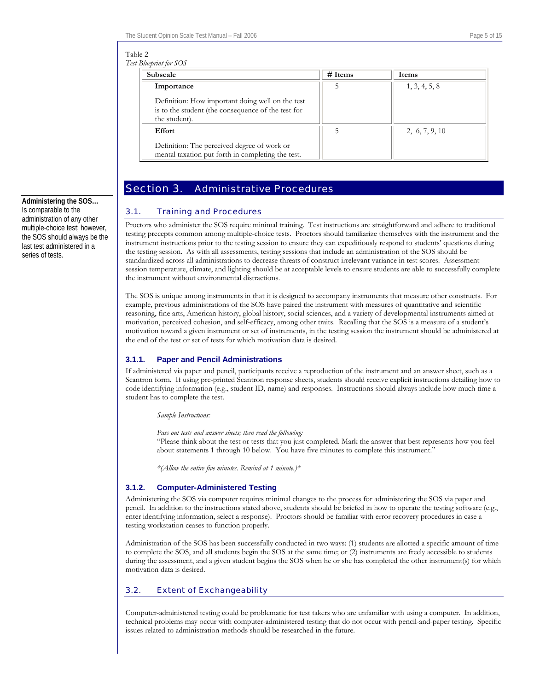#### <span id="page-4-0"></span>Table 2

| Test Blueprint for SOS |  |
|------------------------|--|
|                        |  |

| <b>Subscale</b>                                                                                                         | $#$ Items | <b>Items</b>   |
|-------------------------------------------------------------------------------------------------------------------------|-----------|----------------|
| Importance                                                                                                              | 5         | 1, 3, 4, 5, 8  |
| Definition: How important doing well on the test<br>is to the student (the consequence of the test for<br>the student). |           |                |
| <b>Effort</b>                                                                                                           | 5         | 2, 6, 7, 9, 10 |
| Definition: The perceived degree of work or<br>mental taxation put forth in completing the test.                        |           |                |

# Section 3. Administrative Procedures

#### 3.1. Training and Procedures

Proctors who administer the SOS require minimal training. Test instructions are straightforward and adhere to traditional testing precepts common among multiple-choice tests. Proctors should familiarize themselves with the instrument and the instrument instructions prior to the testing session to ensure they can expeditiously respond to students' questions during the testing session. As with all assessments, testing sessions that include an administration of the SOS should be standardized across all administrations to decrease threats of construct irrelevant variance in test scores. Assessment session temperature, climate, and lighting should be at acceptable levels to ensure students are able to successfully complete the instrument without environmental distractions.

The SOS is unique among instruments in that it is designed to accompany instruments that measure other constructs. For example, previous administrations of the SOS have paired the instrument with measures of quantitative and scientific reasoning, fine arts, American history, global history, social sciences, and a variety of developmental instruments aimed at motivation, perceived cohesion, and self-efficacy, among other traits. Recalling that the SOS is a measure of a student's motivation toward a given instrument or set of instruments, in the testing session the instrument should be administered at the end of the test or set of tests for which motivation data is desired.

#### **3.1.1. Paper and Pencil Administrations**

If administered via paper and pencil, participants receive a reproduction of the instrument and an answer sheet, such as a Scantron form. If using pre-printed Scantron response sheets, students should receive explicit instructions detailing how to code identifying information (e.g., student ID, name) and responses. Instructions should always include how much time a student has to complete the test.

*Sample Instructions:*

*Pass out tests and answer sheets; then read the following:*

"Please think about the test or tests that you just completed. Mark the answer that best represents how you feel about statements 1 through 10 below. You have five minutes to complete this instrument."

*\*(Allow the entire five minutes. Remind at 1 minute.)\** 

#### **3.1.2. Computer-Administered Testing**

Administering the SOS via computer requires minimal changes to the process for administering the SOS via paper and pencil. In addition to the instructions stated above, students should be briefed in how to operate the testing software (e.g., enter identifying information, select a response). Proctors should be familiar with error recovery procedures in case a testing workstation ceases to function properly.

Administration of the SOS has been successfully conducted in two ways: (1) students are allotted a specific amount of time to complete the SOS, and all students begin the SOS at the same time; or (2) instruments are freely accessible to students during the assessment, and a given student begins the SOS when he or she has completed the other instrument(s) for which motivation data is desired.

#### 3.2. Extent of Exchangeability

Computer-administered testing could be problematic for test takers who are unfamiliar with using a computer. In addition, technical problems may occur with computer-administered testing that do not occur with pencil-and-paper testing. Specific issues related to administration methods should be researched in the future.

**Administering the SOS…**  Is comparable to the administration of any other multiple-choice test; however, the SOS should always be the last test administered in a series of tests.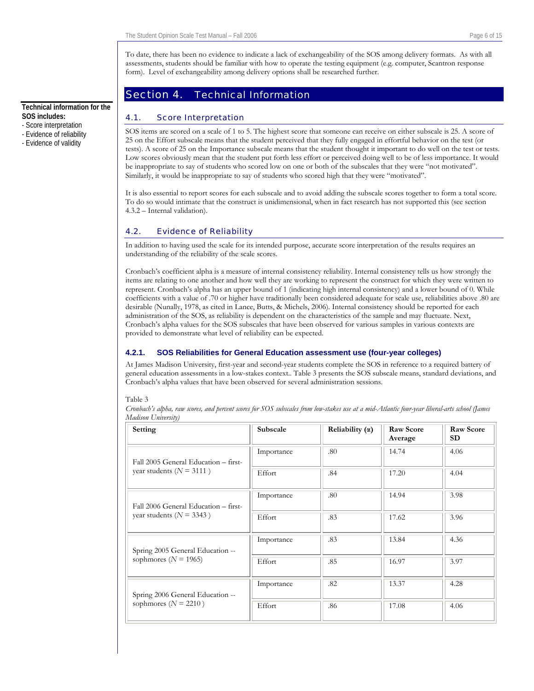To date, there has been no evidence to indicate a lack of exchangeability of the SOS among delivery formats. As with all assessments, students should be familiar with how to operate the testing equipment (e.g. computer, Scantron response form). Level of exchangeability among delivery options shall be researched further.

## Section 4. Technical Information

#### 4.1. Score Interpretation

SOS items are scored on a scale of 1 to 5. The highest score that someone can receive on either subscale is 25. A score of 25 on the Effort subscale means that the student perceived that they fully engaged in effortful behavior on the test (or tests). A score of 25 on the Importance subscale means that the student thought it important to do well on the test or tests. Low scores obviously mean that the student put forth less effort or perceived doing well to be of less importance. It would be inappropriate to say of students who scored low on one or both of the subscales that they were "not motivated". Similarly, it would be inappropriate to say of students who scored high that they were "motivated".

It is also essential to report scores for each subscale and to avoid adding the subscale scores together to form a total score. To do so would intimate that the construct is unidimensional, when in fact research has not supported this (see section 4.3.2 – Internal validation).

#### 4.2. Evidence of Reliability

In addition to having used the scale for its intended purpose, accurate score interpretation of the results requires an understanding of the reliability of the scale scores.

Cronbach's coefficient alpha is a measure of internal consistency reliability. Internal consistency tells us how strongly the items are relating to one another and how well they are working to represent the construct for which they were written to represent. Cronbach's alpha has an upper bound of 1 (indicating high internal consistency) and a lower bound of 0. While coefficients with a value of .70 or higher have traditionally been considered adequate for scale use, reliabilities above .80 are desirable (Nunally, 1978, as cited in Lance, Butts, & Michels, 2006). Internal consistency should be reported for each administration of the SOS, as reliability is dependent on the characteristics of the sample and may fluctuate. Next, Cronbach's alpha values for the SOS subscales that have been observed for various samples in various contexts are provided to demonstrate what level of reliability can be expected.

#### **4.2.1. SOS Reliabilities for General Education assessment use (four-year colleges)**

At James Madison University, first-year and second-year students complete the SOS in reference to a required battery of general education assessments in a low-stakes context.. Table 3 presents the SOS subscale means, standard deviations, and Cronbach's alpha values that have been observed for several administration sessions.

#### Table 3

*Cronbach's alpha, raw scores, and percent scores for SOS subscales from low-stakes use at a mid-Atlantic four-year liberal-arts school (James Madison University)* 

| Setting                              | Subscale   | Reliability $(\alpha)$ | <b>Raw Score</b><br>Average | <b>Raw Score</b><br>SD. |
|--------------------------------------|------------|------------------------|-----------------------------|-------------------------|
| Fall 2005 General Education - first- | Importance | .80                    | 14.74                       | 4.06                    |
| year students ( $N = 3111$ )         | Effort     | .84                    | 17.20                       | 4.04                    |
| Fall 2006 General Education – first- | Importance | .80                    | 14.94                       | 3.98                    |
| year students ( $N = 3343$ )         | Effort     | .83                    | 17.62                       | 3.96                    |
| Spring 2005 General Education --     | Importance | .83                    | 13.84                       | 4.36                    |
| sophmores ( $N = 1965$ )             | Effort     | .85                    | 16.97                       | 3.97                    |
| Spring 2006 General Education --     | Importance | .82                    | 13.37                       | 4.28                    |
| sophmores ( $N = 2210$ )             | Effort     | .86                    | 17.08                       | 4.06                    |

#### <span id="page-5-0"></span>**Technical information for the SOS includes:**

- Score interpretation
- Evidence of reliability
- Evidence of validity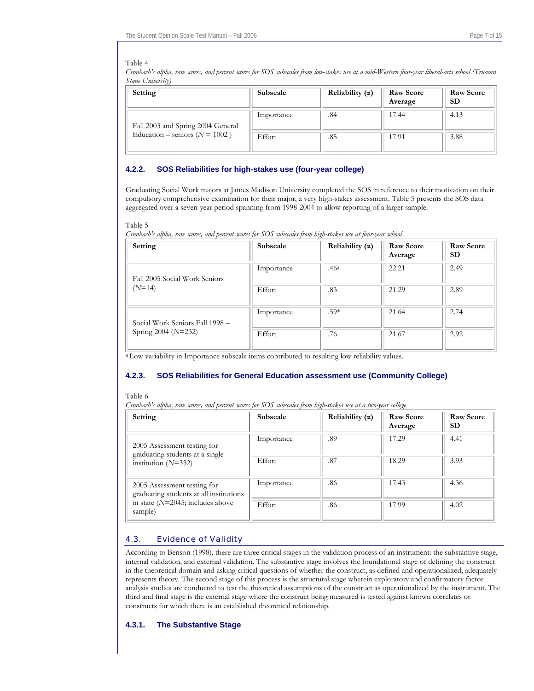#### <span id="page-6-0"></span>Table 4

*Cronbach's alpha, raw scores, and percent scores for SOS subscales from low-stakes use at a mid-Western four-year liberal-arts school (Truamn Staue University)* 

| Setting                            | Subscale   | Reliability $(\alpha)$ | Raw Score<br>Average | <b>Raw Score</b><br>SD |
|------------------------------------|------------|------------------------|----------------------|------------------------|
| Fall 2003 and Spring 2004 General  | Importance | .84                    | 17.44                | 4.13                   |
| Education – seniors ( $N = 1002$ ) | Effort     | .85                    | 17.91                | 3.88                   |

#### **4.2.2. SOS Reliabilities for high-stakes use (four-year college)**

Graduating Social Work majors at James Madison University completed the SOS in reference to their motivation on their compulsory comprehensive examination for their major, a very high-stakes assessment. Table 5 presents the SOS data aggregated over a seven-year period spanning from 1998-2004 to allow reporting of a larger sample.

#### Table 5 *Cronbach's alpha, raw scores, and percent scores for SOS subscales from high-stakes use at four-year school*

| Setting                         | Subscale   | Reliability $(\alpha)$ | <b>Raw Score</b><br>Average | <b>Raw Score</b><br><b>SD</b> |
|---------------------------------|------------|------------------------|-----------------------------|-------------------------------|
| Fall 2005 Social Work Seniors   | Importance | .46 <sup>a</sup>       | 22.21                       | 2.49                          |
| $(N=14)$                        | Effort     | .83                    | 21.29                       | 2.89                          |
| Social Work Seniors Fall 1998 - | Importance | $.59*$                 | 21.64                       | 2.74                          |
| Spring 2004 ( $N=232$ )         | Effort     | .76                    | 21.67                       | 2.92                          |

**<sup>a</sup>**Low variability in Importance subscale items contributed to resulting low reliability values.

#### **4.2.3. SOS Reliabilities for General Education assessment use (Community College)**

Table 6

*Cronbach's alpha, raw scores, and percent scores for SOS subscales from high-stakes use at a two-year college* 

| Setting                                                                | <b>Subscale</b> | Reliability $(\alpha)$ | <b>Raw Score</b><br>Average | <b>Raw Score</b><br>SD |
|------------------------------------------------------------------------|-----------------|------------------------|-----------------------------|------------------------|
| 2005 Assessment testing for<br>graduating students at a single         | Importance      | .89                    | 17.29                       | 4.41                   |
| institution $(N=332)$                                                  | Effort          | .87                    | 18.29                       | 3.93                   |
| 2005 Assessment testing for<br>graduating students at all institutions | Importance      | .86                    | 17.43                       | 4.36                   |
| in state $(N=2045;$ includes above<br>sample)                          | Effort          | .86                    | 17.99                       | 4.02                   |

#### 4.3. Evidence of Validity

According to Benson (1998), there are three critical stages in the validation process of an instrument: the substantive stage, internal validation, and external validation. The substantive stage involves the foundational stage of defining the construct in the theoretical domain and asking critical questions of whether the construct, as defined and operationalized, adequately represents theory. The second stage of this process is the structural stage wherein exploratory and confirmatory factor analysis studies are conducted to test the theoretical assumptions of the construct as operationalized by the instrument. The third and final stage is the external stage where the construct being measured is tested against known correlates or constructs for which there is an established theoretical relationship.

#### **4.3.1. The Substantive Stage**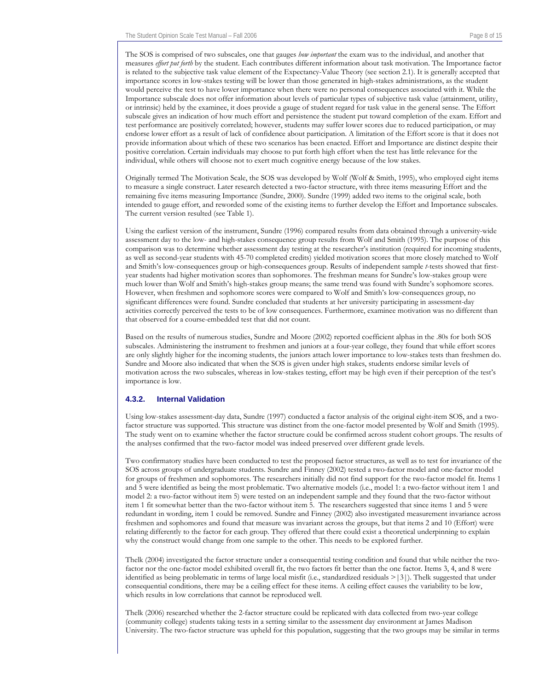The SOS is comprised of two subscales, one that gauges *how important* the exam was to the individual, and another that measures *effort put forth* by the student. Each contributes different information about task motivation. The Importance factor is related to the subjective task value element of the Expectancy-Value Theory (see section 2.1). It is generally accepted that importance scores in low-stakes testing will be lower than those generated in high-stakes administrations, as the student would perceive the test to have lower importance when there were no personal consequences associated with it. While the Importance subscale does not offer information about levels of particular types of subjective task value (attainment, utility, or intrinsic) held by the examinee, it does provide a gauge of student regard for task value in the general sense. The Effort subscale gives an indication of how much effort and persistence the student put toward completion of the exam. Effort and test performance are positively correlated; however, students may suffer lower scores due to reduced participation, or may endorse lower effort as a result of lack of confidence about participation. A limitation of the Effort score is that it does not provide information about which of these two scenarios has been enacted. Effort and Importance are distinct despite their positive correlation. Certain individuals may choose to put forth high effort when the test has little relevance for the individual, while others will choose not to exert much cognitive energy because of the low stakes.

Originally termed The Motivation Scale, the SOS was developed by Wolf (Wolf & Smith, 1995), who employed eight items to measure a single construct. Later research detected a two-factor structure, with three items measuring Effort and the remaining five items measuring Importance (Sundre, 2000). Sundre (1999) added two items to the original scale, both intended to gauge effort, and reworded some of the existing items to further develop the Effort and Importance subscales. The current version resulted (see Table 1).

Using the earliest version of the instrument, Sundre (1996) compared results from data obtained through a university-wide assessment day to the low- and high-stakes consequence group results from Wolf and Smith (1995). The purpose of this comparison was to determine whether assessment day testing at the researcher's institution (required for incoming students, as well as second-year students with 45-70 completed credits) yielded motivation scores that more closely matched to Wolf and Smith's low-consequences group or high-consequences group. Results of independent sample *t*-tests showed that firstyear students had higher motivation scores than sophomores. The freshman means for Sundre's low-stakes group were much lower than Wolf and Smith's high-stakes group means; the same trend was found with Sundre's sophomore scores. However, when freshmen and sophomore scores were compared to Wolf and Smith's low-consequences group, no significant differences were found. Sundre concluded that students at her university participating in assessment-day activities correctly perceived the tests to be of low consequences. Furthermore, examinee motivation was no different than that observed for a course-embedded test that did not count.

Based on the results of numerous studies, Sundre and Moore (2002) reported coefficient alphas in the .80s for both SOS subscales. Administering the instrument to freshmen and juniors at a four-year college, they found that while effort scores are only slightly higher for the incoming students, the juniors attach lower importance to low-stakes tests than freshmen do. Sundre and Moore also indicated that when the SOS is given under high stakes, students endorse similar levels of motivation across the two subscales, whereas in low-stakes testing, effort may be high even if their perception of the test's importance is low.

#### **4.3.2. Internal Validation**

Using low-stakes assessment-day data, Sundre (1997) conducted a factor analysis of the original eight-item SOS, and a twofactor structure was supported. This structure was distinct from the one-factor model presented by Wolf and Smith (1995). The study went on to examine whether the factor structure could be confirmed across student cohort groups. The results of the analyses confirmed that the two-factor model was indeed preserved over different grade levels.

Two confirmatory studies have been conducted to test the proposed factor structures, as well as to test for invariance of the SOS across groups of undergraduate students. Sundre and Finney (2002) tested a two-factor model and one-factor model for groups of freshmen and sophomores. The researchers initially did not find support for the two-factor model fit. Items 1 and 5 were identified as being the most problematic. Two alternative models (i.e., model 1: a two-factor without item 1 and model 2: a two-factor without item 5) were tested on an independent sample and they found that the two-factor without item 1 fit somewhat better than the two-factor without item 5. The researchers suggested that since items 1 and 5 were redundant in wording, item 1 could be removed. Sundre and Finney (2002) also investigated measurement invariance across freshmen and sophomores and found that measure was invariant across the groups, but that items 2 and 10 (Effort) were relating differently to the factor for each group. They offered that there could exist a theoretical underpinning to explain why the construct would change from one sample to the other. This needs to be explored further.

Thelk (2004) investigated the factor structure under a consequential testing condition and found that while neither the twofactor nor the one-factor model exhibited overall fit, the two factors fit better than the one factor. Items 3, 4, and 8 were identified as being problematic in terms of large local misfit (i.e., standardized residuals >|3|). Thelk suggested that under consequential conditions, there may be a ceiling effect for these items. A ceiling effect causes the variability to be low, which results in low correlations that cannot be reproduced well.

Thelk (2006) researched whether the 2-factor structure could be replicated with data collected from two-year college (community college) students taking tests in a setting similar to the assessment day environment at James Madison University. The two-factor structure was upheld for this population, suggesting that the two groups may be similar in terms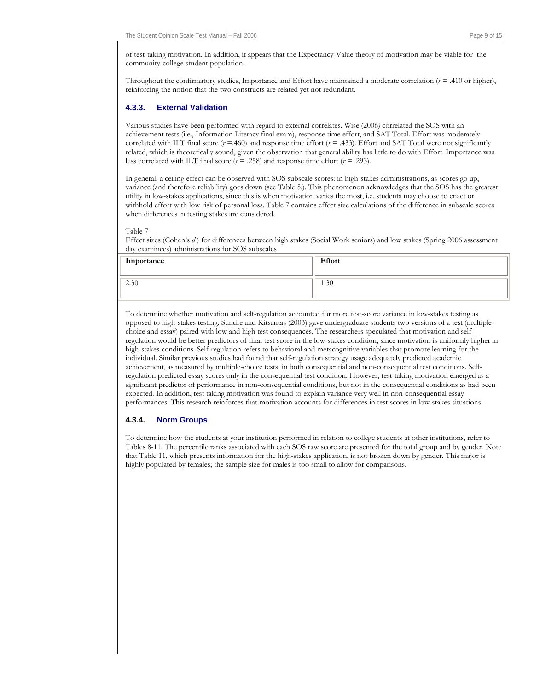of test-taking motivation. In addition, it appears that the Expectancy-Value theory of motivation may be viable for the community-college student population.

Throughout the confirmatory studies, Importance and Effort have maintained a moderate correlation  $(r = .410)$  or higher), reinforcing the notion that the two constructs are related yet not redundant.

#### **4.3.3. External Validation**

Various studies have been performed with regard to external correlates. Wise (2006*)* correlated the SOS with an achievement tests (i.e., Information Literacy final exam), response time effort, and SAT Total. Effort was moderately correlated with ILT final score  $(r = .460)$  and response time effort  $(r = .433)$ . Effort and SAT Total were not significantly related, which is theoretically sound, given the observation that general ability has little to do with Effort. Importance was less correlated with ILT final score  $(r = .258)$  and response time effort  $(r = .293)$ .

In general, a ceiling effect can be observed with SOS subscale scores: in high-stakes administrations, as scores go up, variance (and therefore reliability) goes down (see Table 5.). This phenomenon acknowledges that the SOS has the greatest utility in low-stakes applications, since this is when motivation varies the most, i.e. students may choose to enact or withhold effort with low risk of personal loss. Table 7 contains effect size calculations of the difference in subscale scores when differences in testing stakes are considered.

#### Table 7

Effect sizes (Cohen's *d* ) for differences between high stakes (Social Work seniors) and low stakes (Spring 2006 assessment day examinees) administrations for SOS subscales

| Importance | Effort |
|------------|--------|
| 2.30       | 1.30   |

To determine whether motivation and self-regulation accounted for more test-score variance in low-stakes testing as opposed to high-stakes testing, Sundre and Kitsantas (2003) gave undergraduate students two versions of a test (multiplechoice and essay) paired with low and high test consequences. The researchers speculated that motivation and selfregulation would be better predictors of final test score in the low-stakes condition, since motivation is uniformly higher in high-stakes conditions. Self-regulation refers to behavioral and metacognitive variables that promote learning for the individual. Similar previous studies had found that self-regulation strategy usage adequately predicted academic achievement, as measured by multiple-choice tests, in both consequential and non-consequential test conditions. Selfregulation predicted essay scores only in the consequential test condition. However, test-taking motivation emerged as a significant predictor of performance in non-consequential conditions, but not in the consequential conditions as had been expected. In addition, test taking motivation was found to explain variance very well in non-consequential essay performances. This research reinforces that motivation accounts for differences in test scores in low-stakes situations.

#### **4.3.4. Norm Groups**

To determine how the students at your institution performed in relation to college students at other institutions, refer to Tables 8-11. The percentile ranks associated with each SOS raw score are presented for the total group and by gender. Note that Table 11, which presents information for the high-stakes application, is not broken down by gender. This major is highly populated by females; the sample size for males is too small to allow for comparisons.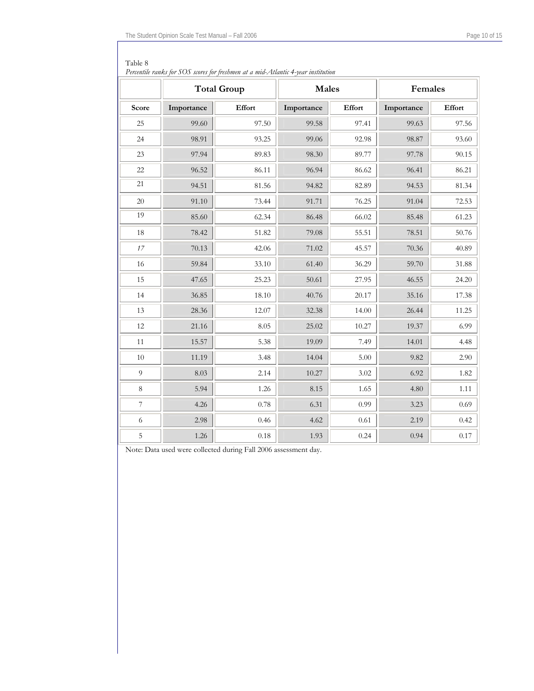| Percentile ranks for SOS scores for freshmen at a mid-Atlantic 4-year institution |            |                    |              |        |            |          |
|-----------------------------------------------------------------------------------|------------|--------------------|--------------|--------|------------|----------|
|                                                                                   |            | <b>Total Group</b> | <b>Males</b> |        | Females    |          |
| Score                                                                             | Importance | Effort             | Importance   | Effort | Importance | Effort   |
| 25                                                                                | 99.60      | 97.50              | 99.58        | 97.41  | 99.63      | 97.56    |
| 24                                                                                | 98.91      | 93.25              | 99.06        | 92.98  | 98.87      | 93.60    |
| 23                                                                                | 97.94      | 89.83              | 98.30        | 89.77  | 97.78      | 90.15    |
| 22                                                                                | 96.52      | 86.11              | 96.94        | 86.62  | 96.41      | 86.21    |
| 21                                                                                | 94.51      | 81.56              | 94.82        | 82.89  | 94.53      | 81.34    |
| 20                                                                                | 91.10      | 73.44              | 91.71        | 76.25  | 91.04      | 72.53    |
| 19                                                                                | 85.60      | 62.34              | 86.48        | 66.02  | 85.48      | 61.23    |
| 18                                                                                | 78.42      | 51.82              | 79.08        | 55.51  | 78.51      | 50.76    |
| $17\,$                                                                            | 70.13      | 42.06              | 71.02        | 45.57  | 70.36      | 40.89    |
| 16                                                                                | 59.84      | 33.10              | 61.40        | 36.29  | 59.70      | 31.88    |
| 15                                                                                | 47.65      | 25.23              | 50.61        | 27.95  | 46.55      | 24.20    |
| 14                                                                                | 36.85      | 18.10              | 40.76        | 20.17  | 35.16      | 17.38    |
| 13                                                                                | 28.36      | 12.07              | 32.38        | 14.00  | 26.44      | 11.25    |
| $12\,$                                                                            | 21.16      | 8.05               | 25.02        | 10.27  | 19.37      | 6.99     |
| 11                                                                                | 15.57      | 5.38               | 19.09        | 7.49   | 14.01      | 4.48     |
| $10\,$                                                                            | 11.19      | 3.48               | 14.04        | 5.00   | 9.82       | 2.90     |
| 9                                                                                 | 8.03       | 2.14               | 10.27        | 3.02   | 6.92       | 1.82     |
| 8                                                                                 | 5.94       | 1.26               | 8.15         | 1.65   | 4.80       | 1.11     |
| $\overline{7}$                                                                    | 4.26       | 0.78               | 6.31         | 0.99   | 3.23       | 0.69     |
| $\sqrt{6}$                                                                        | 2.98       | 0.46               | 4.62         | 0.61   | 2.19       | 0.42     |
| $\overline{5}$                                                                    | 1.26       | $0.18\,$           | 1.93         | 0.24   | 0.94       | $0.17\,$ |

| Table 8                                                                             |
|-------------------------------------------------------------------------------------|
| Percentile ranks for $SOS$ scores for freshmen at a mid-Atlantic 4-year institution |

Note: Data used were collected during Fall 2006 assessment day.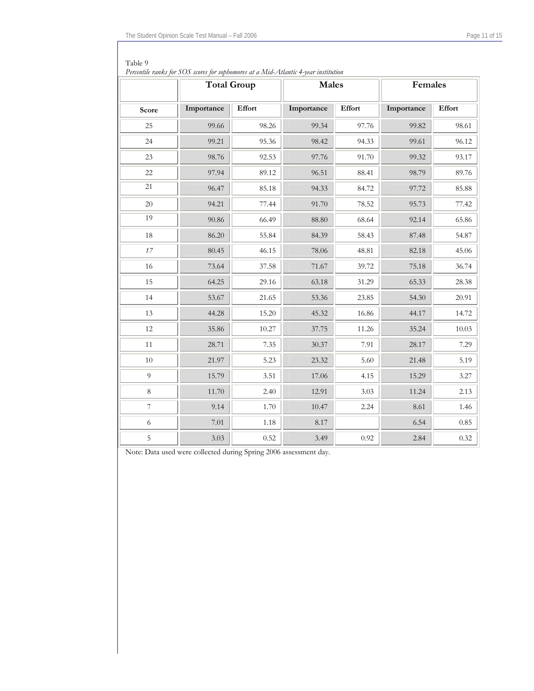| Percentile ranks for SOS scores for sophomores at a Mid-Atlantic 4-year institution |            |                    |              |        |            |        |  |
|-------------------------------------------------------------------------------------|------------|--------------------|--------------|--------|------------|--------|--|
|                                                                                     |            | <b>Total Group</b> | <b>Males</b> |        | Females    |        |  |
| Score                                                                               | Importance | Effort             | Importance   | Effort | Importance | Effort |  |
| 25                                                                                  | 99.66      | 98.26              | 99.34        | 97.76  | 99.82      | 98.61  |  |
| 24                                                                                  | 99.21      | 95.36              | 98.42        | 94.33  | 99.61      | 96.12  |  |
| 23                                                                                  | 98.76      | 92.53              | 97.76        | 91.70  | 99.32      | 93.17  |  |
| 22                                                                                  | 97.94      | 89.12              | 96.51        | 88.41  | 98.79      | 89.76  |  |
| 21                                                                                  | 96.47      | 85.18              | 94.33        | 84.72  | 97.72      | 85.88  |  |
| 20                                                                                  | 94.21      | 77.44              | 91.70        | 78.52  | 95.73      | 77.42  |  |
| 19                                                                                  | 90.86      | 66.49              | 88.80        | 68.64  | 92.14      | 65.86  |  |
| 18                                                                                  | 86.20      | 55.84              | 84.39        | 58.43  | 87.48      | 54.87  |  |
| 17                                                                                  | 80.45      | 46.15              | 78.06        | 48.81  | 82.18      | 45.06  |  |
| 16                                                                                  | 73.64      | 37.58              | 71.67        | 39.72  | 75.18      | 36.74  |  |
| 15                                                                                  | 64.25      | 29.16              | 63.18        | 31.29  | 65.33      | 28.38  |  |
| 14                                                                                  | 53.67      | 21.65              | 53.36        | 23.85  | 54.30      | 20.91  |  |
| 13                                                                                  | 44.28      | 15.20              | 45.32        | 16.86  | 44.17      | 14.72  |  |
| $12\,$                                                                              | 35.86      | 10.27              | 37.75        | 11.26  | 35.24      | 10.03  |  |
| 11                                                                                  | 28.71      | 7.35               | 30.37        | 7.91   | 28.17      | 7.29   |  |
| $10\,$                                                                              | 21.97      | 5.23               | 23.32        | 5.60   | 21.48      | 5.19   |  |
| $\overline{9}$                                                                      | 15.79      | 3.51               | 17.06        | 4.15   | 15.29      | 3.27   |  |
| $\,8\,$                                                                             | 11.70      | 2.40               | 12.91        | 3.03   | 11.24      | 2.13   |  |
| $\overline{\mathcal{I}}$                                                            | 9.14       | 1.70               | 10.47        | 2.24   | 8.61       | 1.46   |  |
| 6                                                                                   | 7.01       | 1.18               | 8.17         |        | 6.54       | 0.85   |  |
| 5                                                                                   | 3.03       | 0.52               | 3.49         | 0.92   | 2.84       | 0.32   |  |

| $\vert$ Table 9                                                                          |
|------------------------------------------------------------------------------------------|
| Demand le nambe fan $C\cap C$ assure fan sophemeure at a Mid Atlantic A wean institution |

Note: Data used were collected during Spring 2006 assessment day.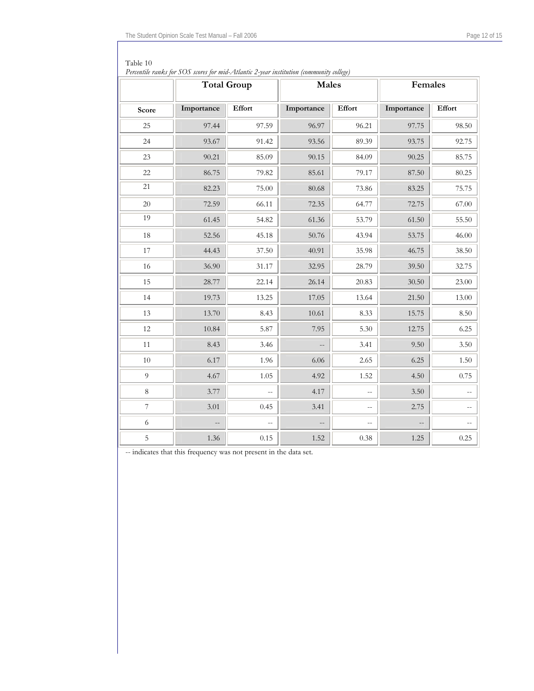| Percentile ranks for SOS scores for mid-Atlantic 2-year institution (community college) |                          |                          |                          |                          |            |          |  |
|-----------------------------------------------------------------------------------------|--------------------------|--------------------------|--------------------------|--------------------------|------------|----------|--|
|                                                                                         |                          | <b>Total Group</b>       | <b>Males</b>             |                          | Females    |          |  |
| Score                                                                                   | Importance               | Effort                   | Importance               | Effort                   | Importance | Effort   |  |
| 25                                                                                      | 97.44                    | 97.59                    | 96.97                    | 96.21                    | 97.75      | 98.50    |  |
| 24                                                                                      | 93.67                    | 91.42                    | 93.56                    | 89.39                    | 93.75      | 92.75    |  |
| 23                                                                                      | 90.21                    | 85.09                    | 90.15                    | 84.09                    | 90.25      | 85.75    |  |
| $22\,$                                                                                  | 86.75                    | 79.82                    | 85.61                    | 79.17                    | 87.50      | 80.25    |  |
| 21                                                                                      | 82.23                    | 75.00                    | 80.68                    | 73.86                    | 83.25      | 75.75    |  |
| 20                                                                                      | 72.59                    | 66.11                    | 72.35                    | 64.77                    | 72.75      | 67.00    |  |
| 19                                                                                      | 61.45                    | 54.82                    | 61.36                    | 53.79                    | 61.50      | 55.50    |  |
| $18\,$                                                                                  | 52.56                    | 45.18                    | 50.76                    | 43.94                    | 53.75      | 46.00    |  |
| 17                                                                                      | 44.43                    | 37.50                    | 40.91                    | 35.98                    | 46.75      | 38.50    |  |
| 16                                                                                      | 36.90                    | 31.17                    | 32.95                    | 28.79                    | 39.50      | 32.75    |  |
| 15                                                                                      | 28.77                    | 22.14                    | 26.14                    | 20.83                    | 30.50      | 23.00    |  |
| 14                                                                                      | 19.73                    | 13.25                    | 17.05                    | 13.64                    | 21.50      | 13.00    |  |
| 13                                                                                      | 13.70                    | 8.43                     | 10.61                    | 8.33                     | 15.75      | 8.50     |  |
| 12                                                                                      | 10.84                    | 5.87                     | 7.95                     | 5.30                     | 12.75      | 6.25     |  |
| 11                                                                                      | 8.43                     | 3.46                     |                          | 3.41                     | 9.50       | 3.50     |  |
| $10\,$                                                                                  | 6.17                     | 1.96                     | 6.06                     | 2.65                     | 6.25       | 1.50     |  |
| $\overline{9}$                                                                          | 4.67                     | 1.05                     | 4.92                     | 1.52                     | 4.50       | 0.75     |  |
| $\,8\,$                                                                                 | 3.77                     | $\overline{\phantom{a}}$ | 4.17                     | $\overline{\phantom{a}}$ | 3.50       |          |  |
| $\overline{7}$                                                                          | 3.01                     | 0.45                     | 3.41                     | $\overline{a}$           | 2.75       |          |  |
| 6                                                                                       | $\overline{\phantom{a}}$ | $\overline{a}$           | $\overline{\phantom{a}}$ | $-$                      |            |          |  |
| $\mathbf 5$                                                                             | 1.36                     | $0.15\,$                 | 1.52                     | 0.38                     | 1.25       | $0.25\,$ |  |

Table 10

-- indicates that this frequency was not present in the data set.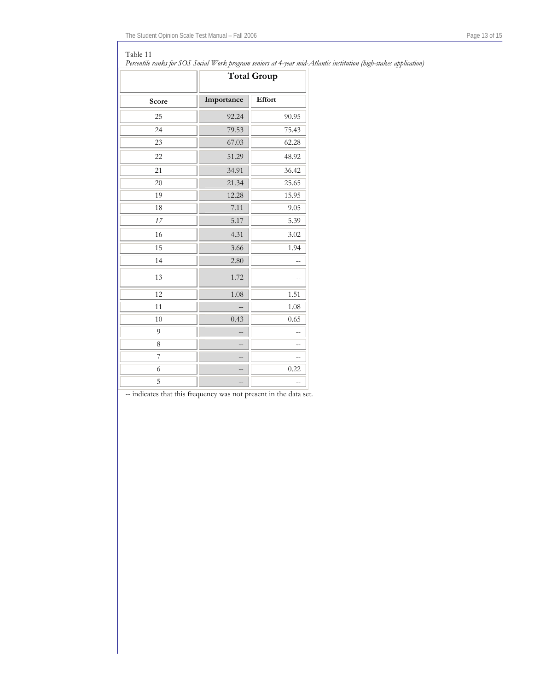#### Table 11

*Percentile ranks for SOS Social Work program seniors at 4-year mid-Atlantic institution (high-stakes application)* 

|       | <b>Total Group</b> |               |  |
|-------|--------------------|---------------|--|
| Score | Importance         | <b>Effort</b> |  |
| 25    | 92.24              | 90.95         |  |
| 24    | 79.53              | 75.43         |  |
| 23    | 67.03              | 62.28         |  |
| 22    | 51.29              | 48.92         |  |
| 21    | 34.91              | 36.42         |  |
| 20    | 21.34              | 25.65         |  |
| 19    | 12.28              | 15.95         |  |
| 18    | 7.11               | 9.05          |  |
| 17    | 5.17               | 5.39          |  |
| 16    | 4.31               | 3.02          |  |
| 15    | 3.66               | 1.94          |  |
| 14    | 2.80               |               |  |
| 13    | 1.72               |               |  |
| 12    | 1.08               | 1.51          |  |
| 11    |                    | 1.08          |  |
| 10    | 0.43               | 0.65          |  |
| 9     |                    |               |  |
| 8     |                    | --            |  |
| 7     |                    |               |  |
| 6     |                    | 0.22          |  |
| 5     | --                 |               |  |

-- indicates that this frequency was not present in the data set.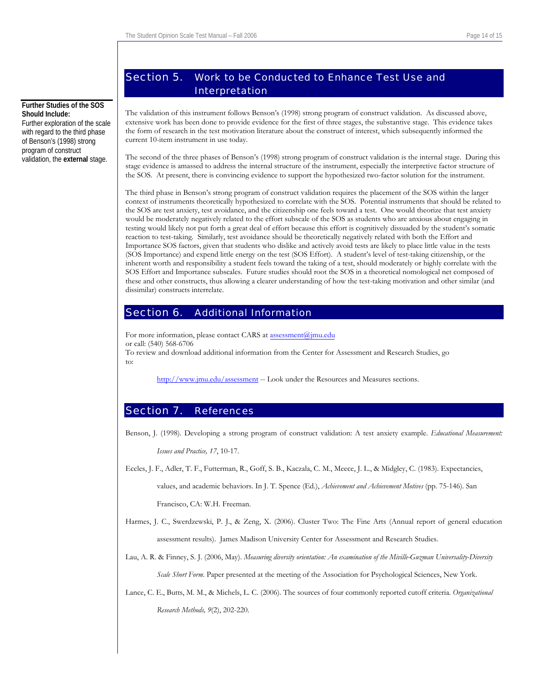# Section 5. Work to be Conducted to Enhance Test Use and Interpretation

The validation of this instrument follows Benson's (1998) strong program of construct validation. As discussed above, extensive work has been done to provide evidence for the first of three stages, the substantive stage. This evidence takes the form of research in the test motivation literature about the construct of interest, which subsequently informed the current 10-item instrument in use today.

The second of the three phases of Benson's (1998) strong program of construct validation is the internal stage. During this stage evidence is amassed to address the internal structure of the instrument, especially the interpretive factor structure of the SOS. At present, there is convincing evidence to support the hypothesized two-factor solution for the instrument.

The third phase in Benson's strong program of construct validation requires the placement of the SOS within the larger context of instruments theoretically hypothesized to correlate with the SOS. Potential instruments that should be related to the SOS are test anxiety, test avoidance, and the citizenship one feels toward a test. One would theorize that test anxiety would be moderately negatively related to the effort subscale of the SOS as students who are anxious about engaging in testing would likely not put forth a great deal of effort because this effort is cognitively dissuaded by the student's somatic reaction to test-taking. Similarly, test avoidance should be theoretically negatively related with both the Effort and Importance SOS factors, given that students who dislike and actively avoid tests are likely to place little value in the tests (SOS Importance) and expend little energy on the test (SOS Effort). A student's level of test-taking citizenship, or the inherent worth and responsibility a student feels toward the taking of a test, should moderately or highly correlate with the SOS Effort and Importance subscales. Future studies should root the SOS in a theoretical nomological net composed of these and other constructs, thus allowing a clearer understanding of how the test-taking motivation and other similar (and dissimilar) constructs interrelate.

# Section 6. Additional Information

For more information, please contact CARS at assessment@jmu.edu or call: (54[0\) 568-](mailto:sundredl@jmu.edu)6706 To review and download additional information from the Center for Assessment and Research Studies, go to:

<http://www.jmu.edu/assessment> -- Look under the Resources and Measures sections.

# Section 7. References

Benson, J. (1998). Developing a strong program of construct validation: A test anxiety example. *Educational Measurement:* 

*Issues and Practice, 17*, 10-17.

Eccles, J. F., Adler, T. F., Futterman, R., Goff, S. B., Kaczala, C. M., Meece, J. L., & Midgley, C. (1983). Expectancies, values, and academic behaviors. In J. T. Spence (Ed.), *Achievement and Achievement Motives* (pp. 75-146). San

Francisco, CA: W.H. Freeman.

- Harmes, J. C., Swerdzewski, P. J., & Zeng, X. (2006). Cluster Two: The Fine Arts (Annual report of general education assessment results). James Madison University Center for Assessment and Research Studies.
- Lau, A. R. & Finney, S. J. (2006, May). *Measuring diversity orientation: An examination of the Miville-Guzman Universality-Diversity Scale Short Form*. Paper presented at the meeting of the Association for Psychological Sciences, New York.
- Lance, C. E., Butts, M. M., & Michels, L. C. (2006). The sources of four commonly reported cutoff criteria. *Organizational Research Methods, 9*(2), 202-220.

# <span id="page-13-0"></span>**Further Studies of the SOS Should Include:**

Further exploration of the scale with regard to the third phase of Benson's (1998) strong program of construct validation, the **external** stage.